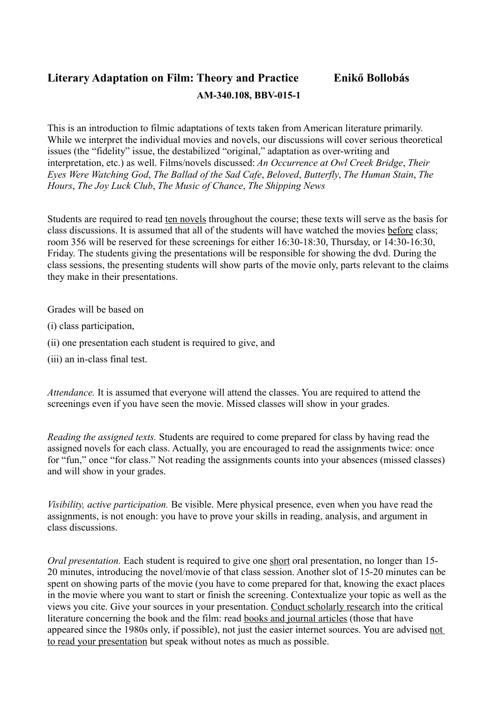## **Literary Adaptation on Film: Theory and Practice Enikő Bollobás AM-340.108, BBV-015-1**

This is an introduction to filmic adaptations of texts taken from American literature primarily. While we interpret the individual movies and novels, our discussions will cover serious theoretical issues (the "fidelity" issue, the destabilized "original," adaptation as over-writing and interpretation, etc.) as well. Films/novels discussed: *An Occurrence at Owl Creek Bridge*, *Their Eyes Were Watching God*, *The Ballad of the Sad Cafe*, *Beloved*, *Butterfly*, *The Human Stain*, *The Hours*, *The Joy Luck Club*, *The Music of Chance*, *The Shipping News*

Students are required to read ten novels throughout the course; these texts will serve as the basis for class discussions. It is assumed that all of the students will have watched the movies before class; room 356 will be reserved for these screenings for either 16:30-18:30, Thursday, or 14:30-16:30, Friday. The students giving the presentations will be responsible for showing the dvd. During the class sessions, the presenting students will show parts of the movie only, parts relevant to the claims they make in their presentations.

Grades will be based on

- (i) class participation,
- (ii) one presentation each student is required to give, and
- (iii) an in-class final test.

*Attendance.* It is assumed that everyone will attend the classes. You are required to attend the screenings even if you have seen the movie. Missed classes will show in your grades.

*Reading the assigned texts.* Students are required to come prepared for class by having read the assigned novels for each class. Actually, you are encouraged to read the assignments twice: once for "fun," once "for class." Not reading the assignments counts into your absences (missed classes) and will show in your grades.

*Visibility, active participation.* Be visible. Mere physical presence, even when you have read the assignments, is not enough: you have to prove your skills in reading, analysis, and argument in class discussions.

*Oral presentation.* Each student is required to give one short oral presentation, no longer than 15-20 minutes, introducing the novel/movie of that class session. Another slot of 15-20 minutes can be spent on showing parts of the movie (you have to come prepared for that, knowing the exact places in the movie where you want to start or finish the screening. Contextualize your topic as well as the views you cite. Give your sources in your presentation. Conduct scholarly research into the critical literature concerning the book and the film: read books and journal articles (those that have appeared since the 1980s only, if possible), not just the easier internet sources. You are advised not to read your presentation but speak without notes as much as possible.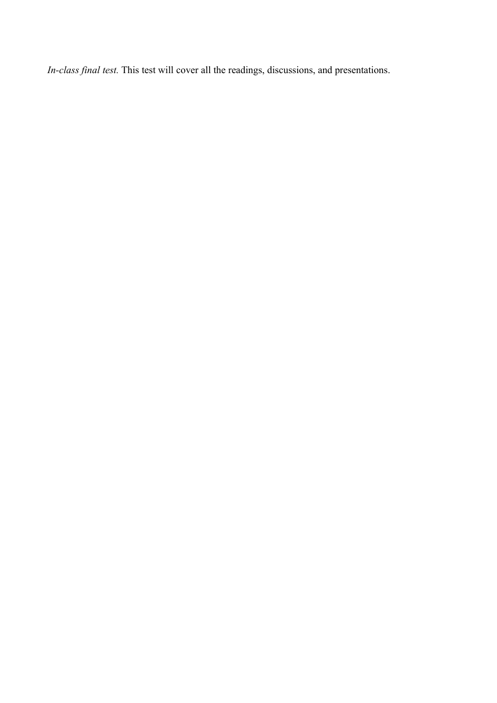*In-class final test.* This test will cover all the readings, discussions, and presentations.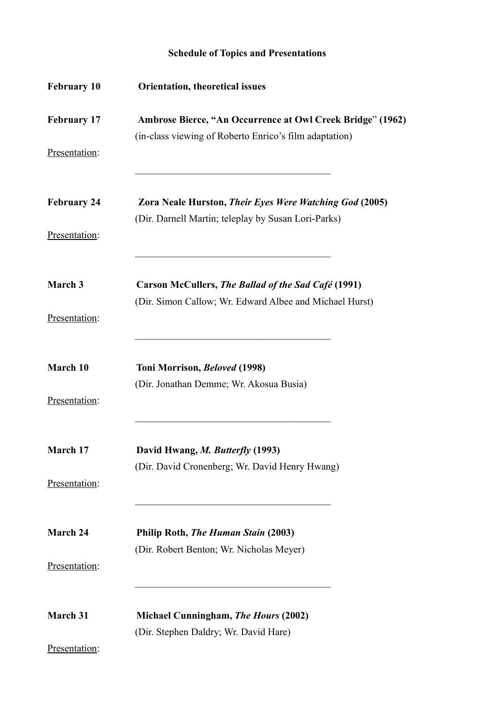## **Schedule of Topics and Presentations**

| <b>February 10</b> | <b>Orientation, theoretical issues</b>                                                                               |
|--------------------|----------------------------------------------------------------------------------------------------------------------|
| <b>February 17</b> | Ambrose Bierce, "An Occurrence at Owl Creek Bridge" (1962)<br>(in-class viewing of Roberto Enrico's film adaptation) |
| Presentation:      |                                                                                                                      |
| <b>February 24</b> | Zora Neale Hurston, Their Eyes Were Watching God (2005)<br>(Dir. Darnell Martin; teleplay by Susan Lori-Parks)       |
| Presentation:      |                                                                                                                      |
| March 3            | Carson McCullers, The Ballad of the Sad Café (1991)                                                                  |
| Presentation:      | (Dir. Simon Callow; Wr. Edward Albee and Michael Hurst)                                                              |
| March 10           | Toni Morrison, Beloved (1998)                                                                                        |
| Presentation:      | (Dir. Jonathan Demme; Wr. Akosua Busia)                                                                              |
| <b>March</b> 17    | David Hwang, M. Butterfly (1993)                                                                                     |
| Presentation:      | (Dir. David Cronenberg; Wr. David Henry Hwang)                                                                       |
| <b>March 24</b>    | Philip Roth, The Human Stain (2003)                                                                                  |
| Presentation:      | (Dir. Robert Benton; Wr. Nicholas Meyer)                                                                             |
| March 31           | Michael Cunningham, The Hours (2002)                                                                                 |
| Presentation:      | (Dir. Stephen Daldry; Wr. David Hare)                                                                                |